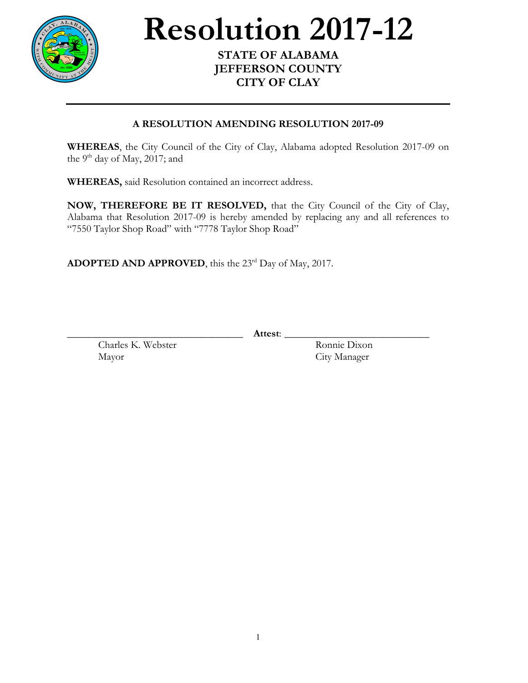

## **Resolution** 2017-12

## **JEFFERSON COUNTY CITY OF CLAY**

## **A RESOLUTION AMENDING RESOLUTION 2017-09**

**WHEREAS**, the City Council of the City of Clay, Alabama adopted Resolution 2017-09 on the 9<sup>th</sup> day of May, 2017; and

**WHEREAS,** said Resolution contained an incorrect address.

**NOW, THEREFORE BE IT RESOLVED,** that the City Council of the City of Clay, Alabama that Resolution 2017-09 is hereby amended by replacing any and all references to "7550 Taylor Shop Road" with "7778 Taylor Shop Road"

**ADOPTED AND APPROVED**, this the 23<sup>rd</sup> Day of May, 2017.

\_\_\_\_\_\_\_\_\_\_\_\_\_\_\_\_\_\_\_\_\_\_\_\_\_\_\_\_\_\_\_\_\_\_ **Attest**: \_\_\_\_\_\_\_\_\_\_\_\_\_\_\_\_\_\_\_\_\_\_\_\_\_\_\_\_

Charles K. Webster Ronnie Dixon Mayor City Manager